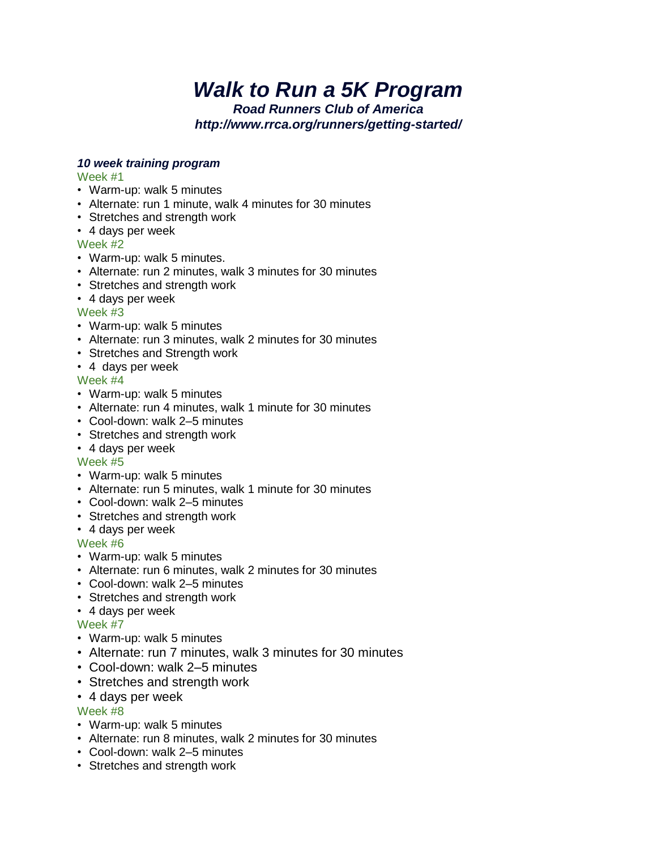# *Walk to Run a 5K Program*

*Road Runners Club of America*

*http://www.rrca.org/runners/getting-started/*

## *10 week training program*

Week #1

- Warm-up: walk 5 minutes
- Alternate: run 1 minute, walk 4 minutes for 30 minutes
- Stretches and strength work
- 4 days per week

### Week #2

- Warm-up: walk 5 minutes.
- Alternate: run 2 minutes, walk 3 minutes for 30 minutes
- Stretches and strength work
- 4 days per week

### Week #3

- Warm-up: walk 5 minutes
- Alternate: run 3 minutes, walk 2 minutes for 30 minutes
- Stretches and Strength work
- 4 days per week

### Week #4

- Warm-up: walk 5 minutes
- Alternate: run 4 minutes, walk 1 minute for 30 minutes
- Cool-down: walk 2–5 minutes
- Stretches and strength work
- 4 days per week

#### Week #5

- Warm-up: walk 5 minutes
- Alternate: run 5 minutes, walk 1 minute for 30 minutes
- Cool-down: walk 2–5 minutes
- Stretches and strength work
- 4 days per week

### Week #6

- Warm-up: walk 5 minutes
- Alternate: run 6 minutes, walk 2 minutes for 30 minutes
- Cool-down: walk 2–5 minutes
- Stretches and strength work
- 4 days per week

### Week #7

- Warm-up: walk 5 minutes
- Alternate: run 7 minutes, walk 3 minutes for 30 minutes
- Cool-down: walk 2–5 minutes
- Stretches and strength work
- 4 days per week

### Week #8

- Warm-up: walk 5 minutes
- Alternate: run 8 minutes, walk 2 minutes for 30 minutes
- Cool-down: walk 2–5 minutes
- Stretches and strength work